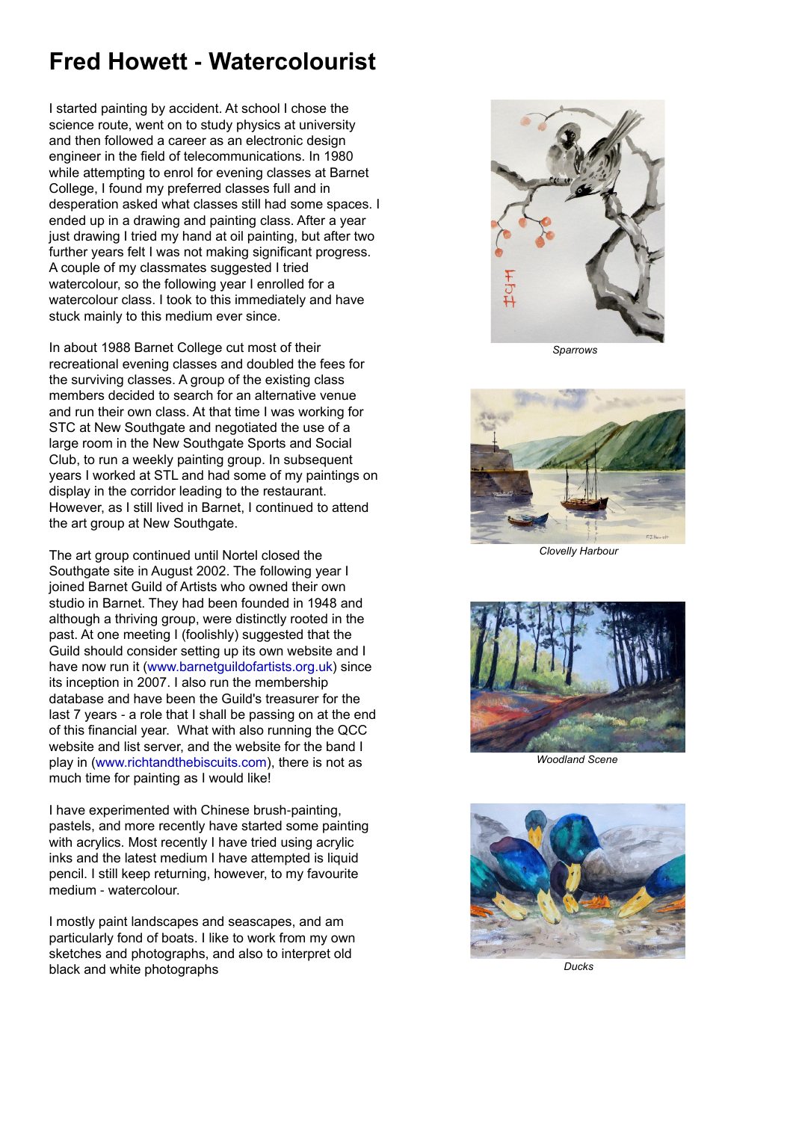## **Fred Howett - Watercolourist**

I started painting by accident. At school I chose the science route, went on to study physics at university and then followed a career as an electronic design engineer in the field of telecommunications. In 1980 while attempting to enrol for evening classes at Barnet College, I found my preferred classes full and in desperation asked what classes still had some spaces. I ended up in a drawing and painting class. After a year just drawing I tried my hand at oil painting, but after two further years felt I was not making significant progress. A couple of my classmates suggested I tried watercolour, so the following year I enrolled for a watercolour class. I took to this immediately and have stuck mainly to this medium ever since.

In about 1988 Barnet College cut most of their recreational evening classes and doubled the fees for the surviving classes. A group of the existing class members decided to search for an alternative venue and run their own class. At that time I was working for STC at New Southgate and negotiated the use of a large room in the New Southgate Sports and Social Club, to run a weekly painting group. In subsequent years I worked at STL and had some of my paintings on display in the corridor leading to the restaurant. However, as I still lived in Barnet, I continued to attend the art group at New Southgate.

The art group continued until Nortel closed the Southgate site in August 2002. The following year I joined Barnet Guild of Artists who owned their own studio in Barnet. They had been founded in 1948 and although a thriving group, were distinctly rooted in the past. At one meeting I (foolishly) suggested that the Guild should consider setting up its own website and I have now run it (www.barnetguildofartists.org.uk) since its inception in 2007. I also run the membership database and have been the Guild's treasurer for the last 7 years - a role that I shall be passing on at the end of this financial year. What with also running the QCC website and list server, and the website for the band I play in (www.richtandthebiscuits.com), there is not as much time for painting as I would like!



I have experimented with Chinese brush-painting, pastels, and more recently have started some painting with acrylics. Most recently I have tried using acrylic inks and the latest medium I have attempted is liquid pencil. I still keep returning, however, to my favourite medium - watercolour.

I mostly paint landscapes and seascapes, and am particularly fond of boats. I like to work from my own sketches and photographs, and also to interpret old black and white photographs

*Sparrows*



*Clovelly Harbour*



*Woodland Scene*



*Ducks*